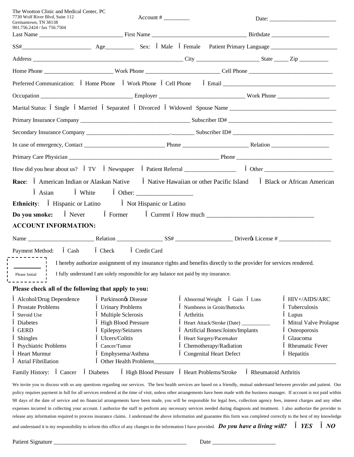| The Wootton Clinic and Medical Center, PC<br>7730 Wolf River Blvd, Suite 112<br>Germantown, TN 38138<br>901.756.2424 / fax 756.7504 | $Account # \_\_$                                                                     |                            |           |                                                                                                                   |                                  |  |
|-------------------------------------------------------------------------------------------------------------------------------------|--------------------------------------------------------------------------------------|----------------------------|-----------|-------------------------------------------------------------------------------------------------------------------|----------------------------------|--|
|                                                                                                                                     |                                                                                      |                            |           |                                                                                                                   |                                  |  |
| SS# Male Female Patient Primary Language Sex: Male Female Patient Primary Language Sextile 1991                                     |                                                                                      |                            |           |                                                                                                                   |                                  |  |
|                                                                                                                                     |                                                                                      |                            |           |                                                                                                                   |                                  |  |
|                                                                                                                                     |                                                                                      |                            |           |                                                                                                                   |                                  |  |
| Preferred Communication:                                                                                                            | Home Phone                                                                           |                            |           |                                                                                                                   |                                  |  |
|                                                                                                                                     |                                                                                      |                            |           |                                                                                                                   |                                  |  |
| Marital Status: Single Married Separated Divorced Widowed Spouse Name ______________________________                                |                                                                                      |                            |           |                                                                                                                   |                                  |  |
|                                                                                                                                     |                                                                                      |                            |           |                                                                                                                   |                                  |  |
|                                                                                                                                     |                                                                                      |                            |           |                                                                                                                   |                                  |  |
|                                                                                                                                     |                                                                                      |                            |           |                                                                                                                   |                                  |  |
|                                                                                                                                     |                                                                                      |                            |           |                                                                                                                   |                                  |  |
| How did you hear about us? TV                                                                                                       |                                                                                      |                            |           |                                                                                                                   |                                  |  |
| Race:<br>Asian                                                                                                                      | White                                                                                | Other: $\qquad \qquad$     |           | American Indian or Alaskan Native Native Hawaiian or other Pacific Island                                         | <b>Black or African American</b> |  |
| <b>Ethnicity:</b>                                                                                                                   | <b>Hispanic or Latino</b>                                                            | Not Hispanic or Latino     |           |                                                                                                                   |                                  |  |
| <b>Do you smoke:</b> Never                                                                                                          | Former                                                                               |                            |           |                                                                                                                   |                                  |  |
| <b>ACCOUNT INFORMATION:</b>                                                                                                         |                                                                                      |                            |           |                                                                                                                   |                                  |  |
|                                                                                                                                     |                                                                                      |                            |           |                                                                                                                   |                                  |  |
| Payment Method:                                                                                                                     | Cash Check                                                                           | Credit Card                |           |                                                                                                                   |                                  |  |
|                                                                                                                                     |                                                                                      |                            |           | I hereby authorize assignment of my insurance rights and benefits directly to the provider for services rendered. |                                  |  |
| Please Initial                                                                                                                      | I fully understand I am solely responsible for any balance not paid by my insurance. |                            |           |                                                                                                                   |                                  |  |
| Please check all of the following that apply to you:                                                                                |                                                                                      |                            |           |                                                                                                                   |                                  |  |
| Alcohol/Drug Dependence                                                                                                             | Parkinsonos Disease                                                                  |                            |           | Abnormal Weight<br>Gain<br>Loss                                                                                   | HIV+/AIDS/ARC                    |  |
| Prostate Problems<br><b>Urinary Problems</b>                                                                                        |                                                                                      |                            |           | Numbness in Groin/Buttocks                                                                                        | Tuberculosis                     |  |
| Steroid Use                                                                                                                         | Multiple Sclerosis                                                                   |                            | Arthritis |                                                                                                                   | Lupus                            |  |
| Diabetes                                                                                                                            | <b>High Blood Pressure</b>                                                           |                            |           | Heart Attack/Stroke (Date) __                                                                                     | Mitral Valve Prolapse            |  |
| <b>GERD</b>                                                                                                                         | Epilepsy/Seizures                                                                    |                            |           | Artificial Bones/Joints/Implants                                                                                  | Osteoporosis                     |  |
| Shingles                                                                                                                            | Ulcers/Colitis                                                                       |                            |           | Heart Surgery/Pacemaker                                                                                           | Glaucoma                         |  |
| Psychiatric Problems<br>Cancer/Tumor                                                                                                |                                                                                      |                            |           | Chemotherapy/Radiation                                                                                            | <b>Rheumatic Fever</b>           |  |
| <b>Heart Murmur</b><br>Emphysema/Asthma                                                                                             |                                                                                      |                            |           | <b>Congenital Heart Defect</b>                                                                                    | Hepatitis                        |  |
| <b>Atrial Fibrillation</b>                                                                                                          | Other Health Problems                                                                |                            |           |                                                                                                                   |                                  |  |
| Family History:<br>Cancer                                                                                                           | Diabetes                                                                             | <b>High Blood Pressure</b> |           | Heart Problems/Stroke                                                                                             | Rheumatoid Arthritis             |  |

We invite you to discuss with us any questions regarding our services. The best health services are based on a friendly, mutual understand between provider and patient. Our policy requires payment in full for all services rendered at the time of visit, unless other arrangements have been made with the business manager. If account is not paid within 90 days of the date of service and no financial arrangements have been made, you will be responsible for legal fees, collection agency fees, interest charges and any other expenses incurred in collecting your account. I authorize the staff to perform any necessary services needed during diagnosis and treatment. I also authorize the provider to release any information required to process insurance claims. I understand the above information and guarantee this form was completed correctly to the best of my knowledge and understand it is my responsibility to inform this office of any changes to the information I have provided. *Do you have a living will? YES NO*